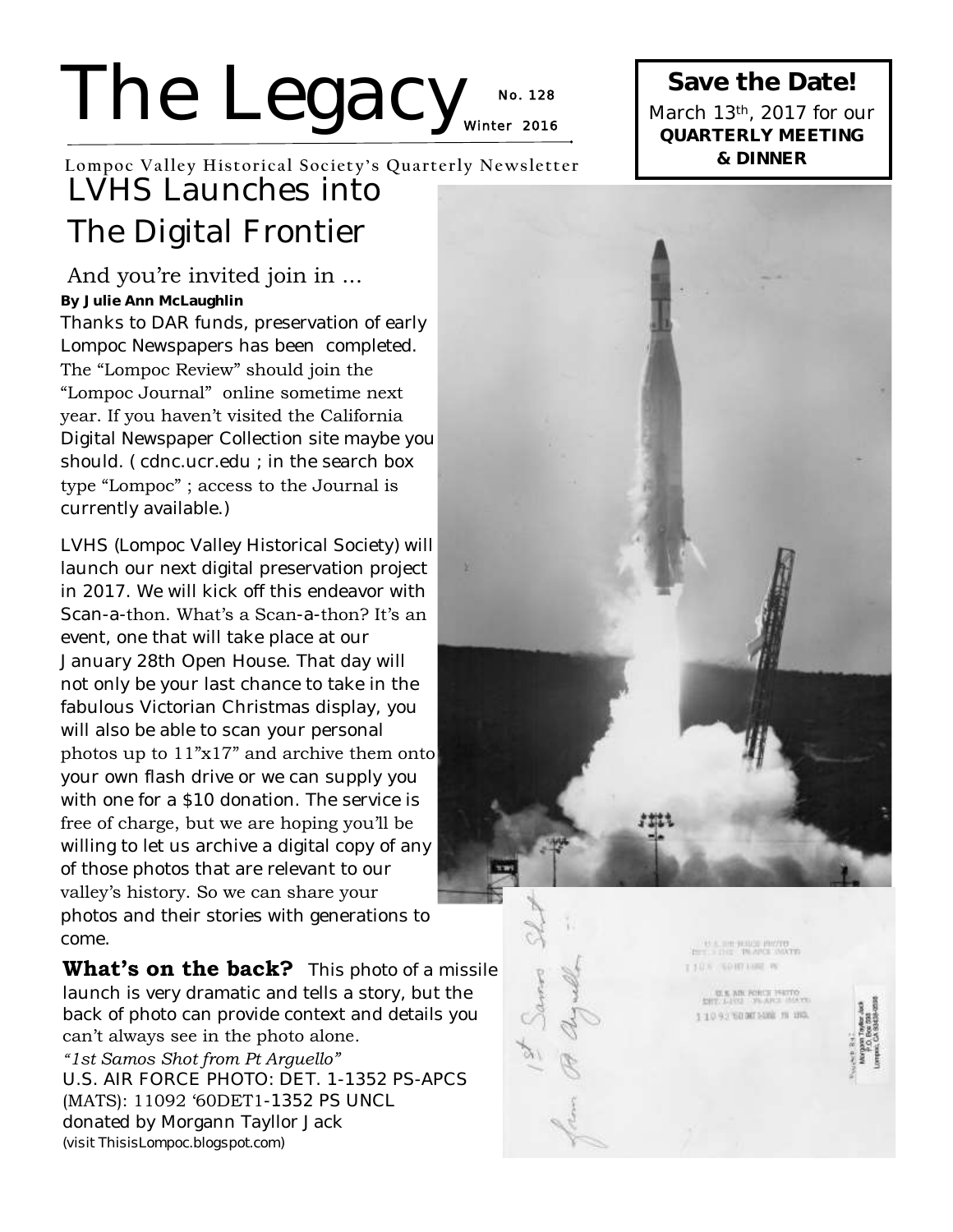# The Legacy<sub>winter 2016</sub> **No. 1 28**

**Lompoc Valley Historical Society's Quarterly Newsletter** LVHS Launches into The Digital Frontier

### And you're invited join in ...

**By Julie Ann McLaughlin** 

Thanks to DAR funds, preservation of early Lompoc Newspapers has been completed. The "Lompoc Review" should join the "Lompoc Journal" online sometime next year. If you haven't visited the California Digital Newspaper Collection site maybe you should. ( cdnc.ucr.edu ; in the search box type "Lompoc" ; access to the Journal is currently available.)

LVHS (Lompoc Valley Historical Society) will launch our next digital preservation project in 2017. We will kick off this endeavor with Scan-a-thon. What's a Scan-a-thon? It's an event, one that will take place at our January 28th Open House. That day will not only be your last chance to take in the fabulous Victorian Christmas display, you will also be able to scan your personal photos up to 11"x17" and archive them onto your own flash drive or we can supply you with one for a \$10 donation. The service is free of charge, but we are hoping you'll be willing to let us archive a digital copy of any of those photos that are relevant to our valley's history. So we can share your photos and their stories with generations to come.

**What's on the back?** This photo of a missile launch is very dramatic and tells a story, but the back of photo can provide context and details you can't always see in the photo alone.

*"1st Samos Shot from Pt Arguello"*  U.S. AIR FORCE PHOTO: DET. 1-1352 PS-APCS (MATS): 11092 '60DET1-1352 PS UNCL donated by Morgann Tayllor Jack *(visit ThisisLompoc.blogspot.com)*



**Save the Date!**  March 13th, 2017 for our **QUARTERLY MEETING & DINNER** 

> **EL EM ROUGE PROTO LADA SOUTHERN**

> > U.S. AIR PORCE PRITO 11093300015000 m USA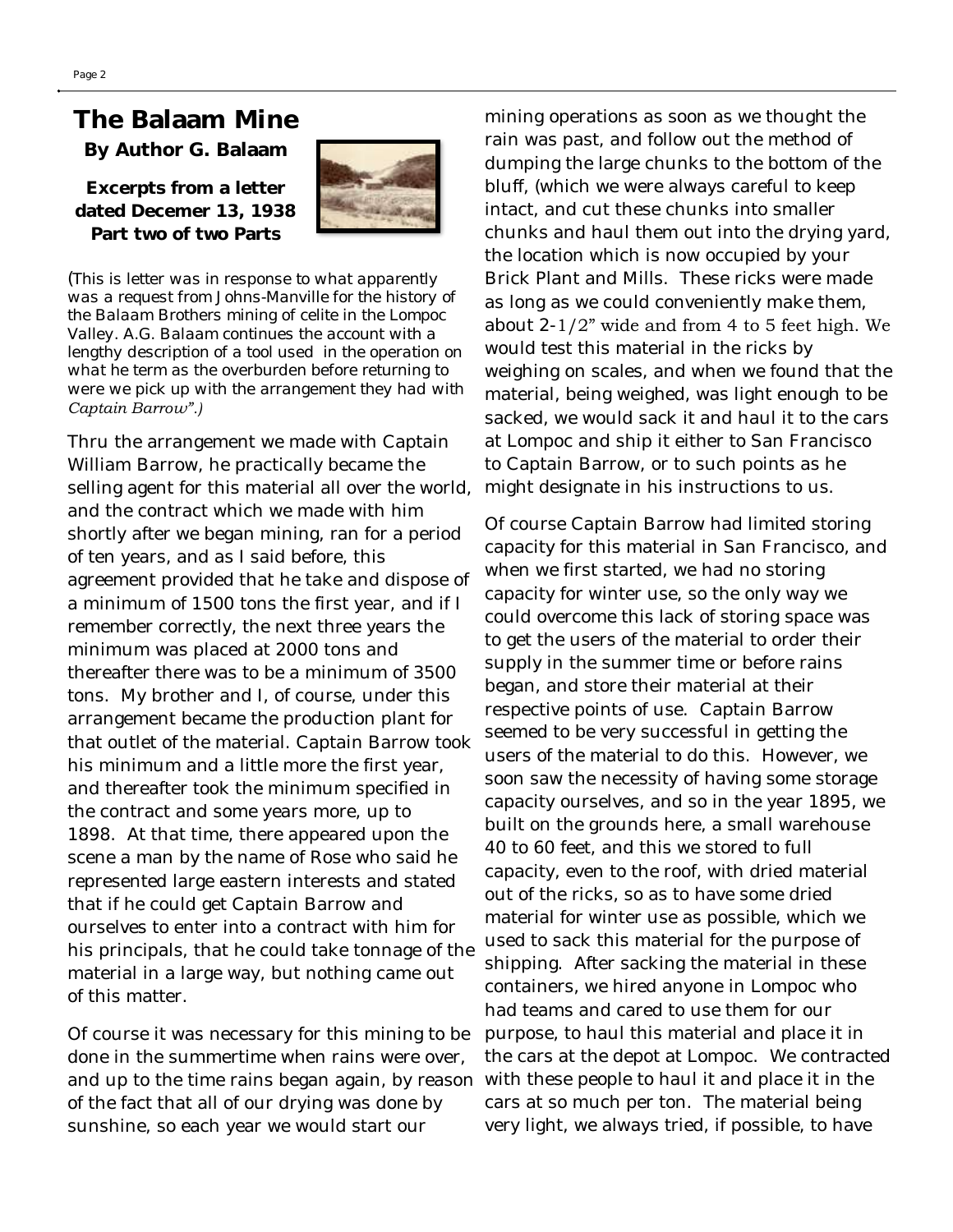## **The Balaam Mine**

**By Author G. Balaam**

**Excerpts from a letter dated Decemer 13, 1938 Part two of two Parts**



(*This is letter was in response to what apparently was a request from Johns-Manville for the history of the Balaam Brothers mining of celite in the Lompoc Valley. A.G. Balaam continues the account with a lengthy description of a tool used in the operation on what he term as the overburden before returning to were we pick up with the arrangement they had with Captain Barrow".)*

Thru the arrangement we made with Captain William Barrow, he practically became the selling agent for this material all over the world, and the contract which we made with him shortly after we began mining, ran for a period of ten years, and as I said before, this agreement provided that he take and dispose of a minimum of 1500 tons the first year, and if I remember correctly, the next three years the minimum was placed at 2000 tons and thereafter there was to be a minimum of 3500 tons. My brother and I, of course, under this arrangement became the production plant for that outlet of the material. Captain Barrow took his minimum and a little more the first year, and thereafter took the minimum specified in the contract and some years more, up to 1898. At that time, there appeared upon the scene a man by the name of Rose who said he represented large eastern interests and stated that if he could get Captain Barrow and ourselves to enter into a contract with him for his principals, that he could take tonnage of the material in a large way, but nothing came out of this matter.

Of course it was necessary for this mining to be done in the summertime when rains were over, and up to the time rains began again, by reason of the fact that all of our drying was done by sunshine, so each year we would start our

mining operations as soon as we thought the rain was past, and follow out the method of dumping the large chunks to the bottom of the bluff, (which we were always careful to keep intact, and cut these chunks into smaller chunks and haul them out into the drying yard, the location which is now occupied by your Brick Plant and Mills. These ricks were made as long as we could conveniently make them, about  $2-1/2$ " wide and from 4 to 5 feet high. We would test this material in the ricks by weighing on scales, and when we found that the material, being weighed, was light enough to be sacked, we would sack it and haul it to the cars at Lompoc and ship it either to San Francisco to Captain Barrow, or to such points as he might designate in his instructions to us.

Of course Captain Barrow had limited storing capacity for this material in San Francisco, and when we first started, we had no storing capacity for winter use, so the only way we could overcome this lack of storing space was to get the users of the material to order their supply in the summer time or before rains began, and store their material at their respective points of use. Captain Barrow seemed to be very successful in getting the users of the material to do this. However, we soon saw the necessity of having some storage capacity ourselves, and so in the year 1895, we built on the grounds here, a small warehouse 40 to 60 feet, and this we stored to full capacity, even to the roof, with dried material out of the ricks, so as to have some dried material for winter use as possible, which we used to sack this material for the purpose of shipping. After sacking the material in these containers, we hired anyone in Lompoc who had teams and cared to use them for our purpose, to haul this material and place it in the cars at the depot at Lompoc. We contracted with these people to haul it and place it in the cars at so much per ton. The material being very light, we always tried, if possible, to have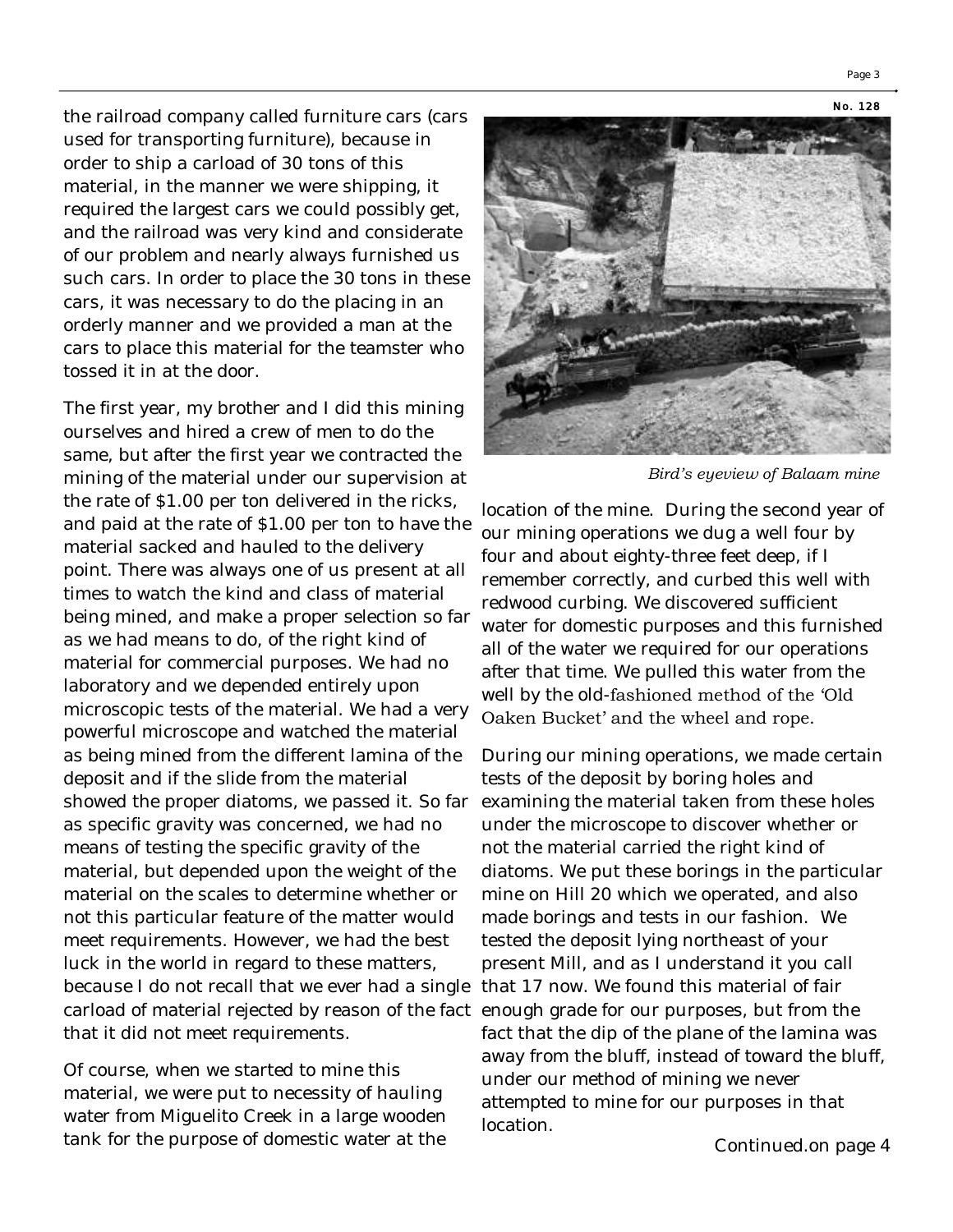Page 3

the railroad company called furniture cars (cars used for transporting furniture), because in order to ship a carload of 30 tons of this material, in the manner we were shipping, it required the largest cars we could possibly get, and the railroad was very kind and considerate of our problem and nearly always furnished us such cars. In order to place the 30 tons in these cars, it was necessary to do the placing in an orderly manner and we provided a man at the cars to place this material for the teamster who tossed it in at the door.

The first year, my brother and I did this mining ourselves and hired a crew of men to do the same, but after the first year we contracted the mining of the material under our supervision at the rate of \$1.00 per ton delivered in the ricks, and paid at the rate of \$1.00 per ton to have the material sacked and hauled to the delivery point. There was always one of us present at all times to watch the kind and class of material being mined, and make a proper selection so far as we had means to do, of the right kind of material for commercial purposes. We had no laboratory and we depended entirely upon microscopic tests of the material. We had a very powerful microscope and watched the material as being mined from the different lamina of the deposit and if the slide from the material showed the proper diatoms, we passed it. So far as specific gravity was concerned, we had no means of testing the specific gravity of the material, but depended upon the weight of the material on the scales to determine whether or not this particular feature of the matter would meet requirements. However, we had the best luck in the world in regard to these matters, because I do not recall that we ever had a single carload of material rejected by reason of the fact enough grade for our purposes, but from the that it did not meet requirements.

Of course, when we started to mine this material, we were put to necessity of hauling water from Miguelito Creek in a large wooden tank for the purpose of domestic water at the



*Bird's eyeview of Balaam mine*

location of the mine. During the second year of our mining operations we dug a well four by four and about eighty-three feet deep, if I remember correctly, and curbed this well with redwood curbing. We discovered sufficient water for domestic purposes and this furnished all of the water we required for our operations after that time. We pulled this water from the well by the old-fashioned method of the 'Old Oaken Bucket' and the wheel and rope.

During our mining operations, we made certain tests of the deposit by boring holes and examining the material taken from these holes under the microscope to discover whether or not the material carried the right kind of diatoms. We put these borings in the particular mine on Hill 20 which we operated, and also made borings and tests in our fashion. We tested the deposit lying northeast of your present Mill, and as I understand it you call that 17 now. We found this material of fair fact that the dip of the plane of the lamina was away from the bluff, instead of toward the bluff, under our method of mining we never attempted to mine for our purposes in that location.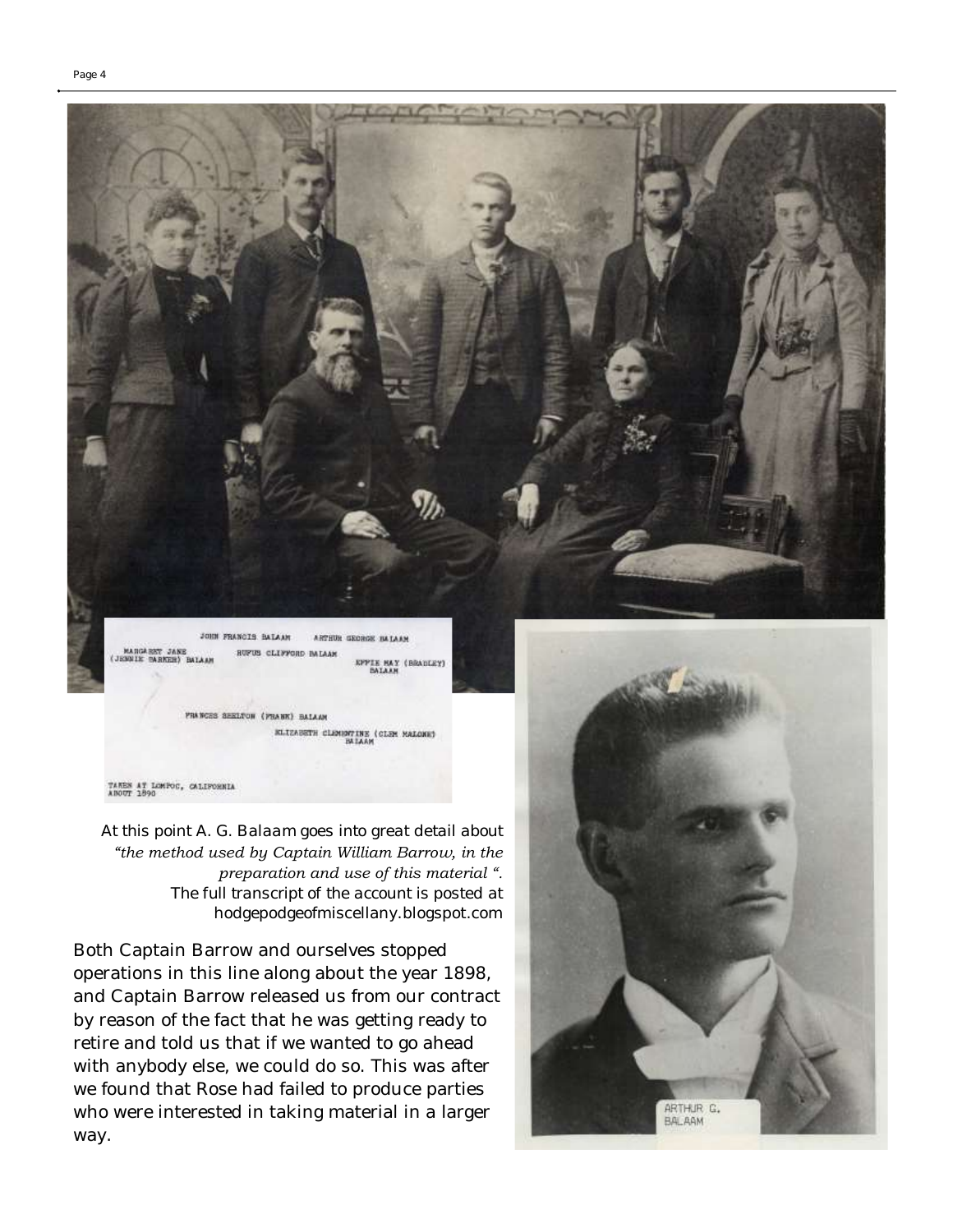

MANCIS BALANT ARTHUR GEORGE BALAAM MARGARET JANE<br>(JENNIK BARKER) BALAA **UPUS CLIFFORD IMLAAN EPPIE HAY (BRADLEY)** 

FRANCES SEELTON (FRANK) BALAAM ELIZABETH CLEMBRITE (CLEM HALONE)

TAKES AT LOMPOC, CALIFORNIA<br>ANOUT 1890

*At this point A. G. Balaam goes into great detail about "the method used by Captain William Barrow, in the preparation and use of this material ". The full transcript of the account is posted at*  hodgepodgeofmiscellany.blogspot.com

Both Captain Barrow and ourselves stopped operations in this line along about the year 1898, and Captain Barrow released us from our contract by reason of the fact that he was getting ready to retire and told us that if we wanted to go ahead with anybody else, we could do so. This was after we found that Rose had failed to produce parties who were interested in taking material in a larger way.

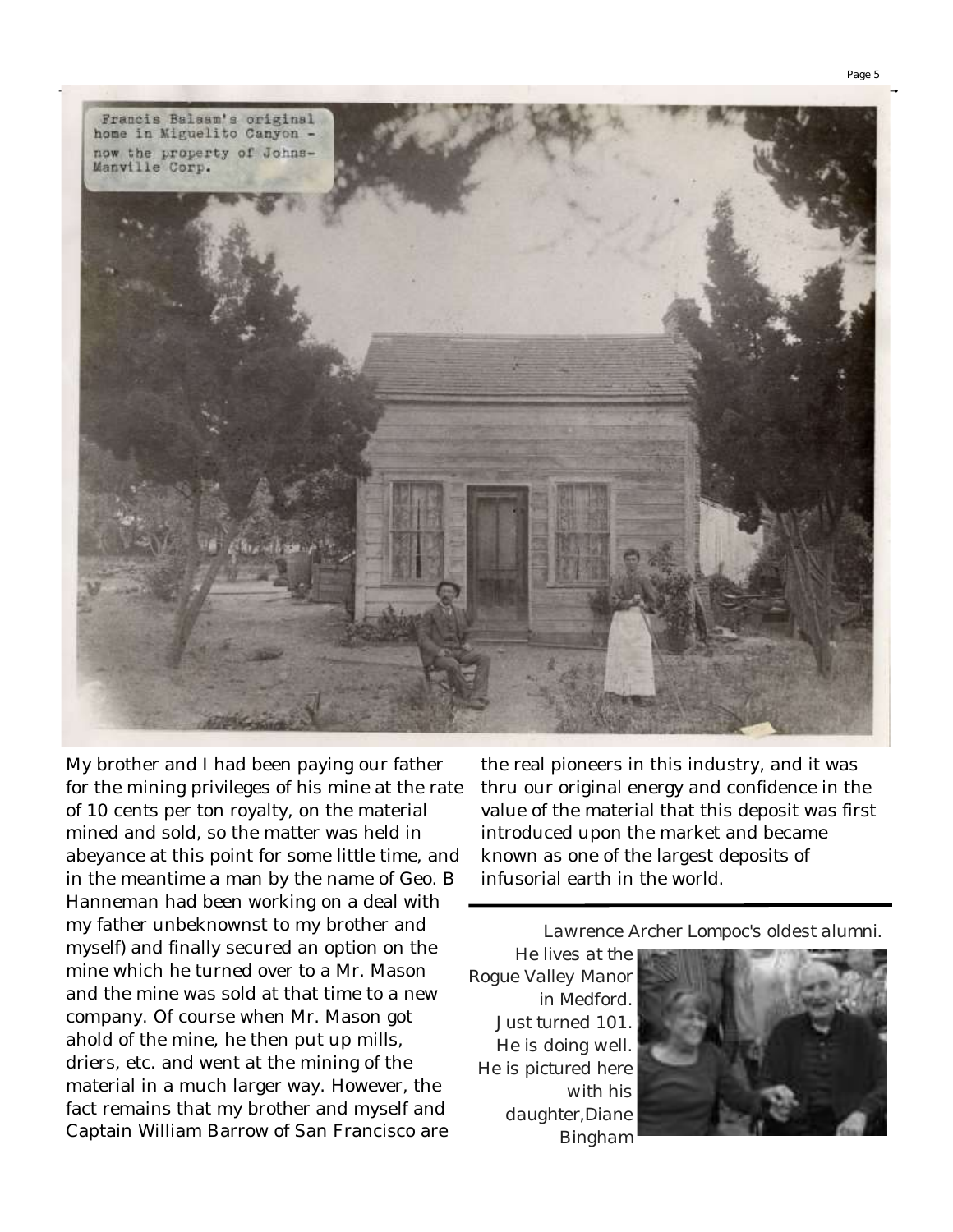

My brother and I had been paying our father for the mining privileges of his mine at the rate of 10 cents per ton royalty, on the material mined and sold, so the matter was held in abeyance at this point for some little time, and in the meantime a man by the name of Geo. B Hanneman had been working on a deal with my father unbeknownst to my brother and myself) and finally secured an option on the mine which he turned over to a Mr. Mason and the mine was sold at that time to a new company. Of course when Mr. Mason got ahold of the mine, he then put up mills, driers, etc. and went at the mining of the material in a much larger way. However, the fact remains that my brother and myself and Captain William Barrow of San Francisco are

the real pioneers in this industry, and it was thru our original energy and confidence in the value of the material that this deposit was first introduced upon the market and became known as one of the largest deposits of infusorial earth in the world.

*Lawrence Archer Lompoc's oldest alumni.* 

*He lives at the Rogue Valley Manor in Medford. Just turned 101. He is doing well. He is pictured here with his daughter,Diane Bingham* 

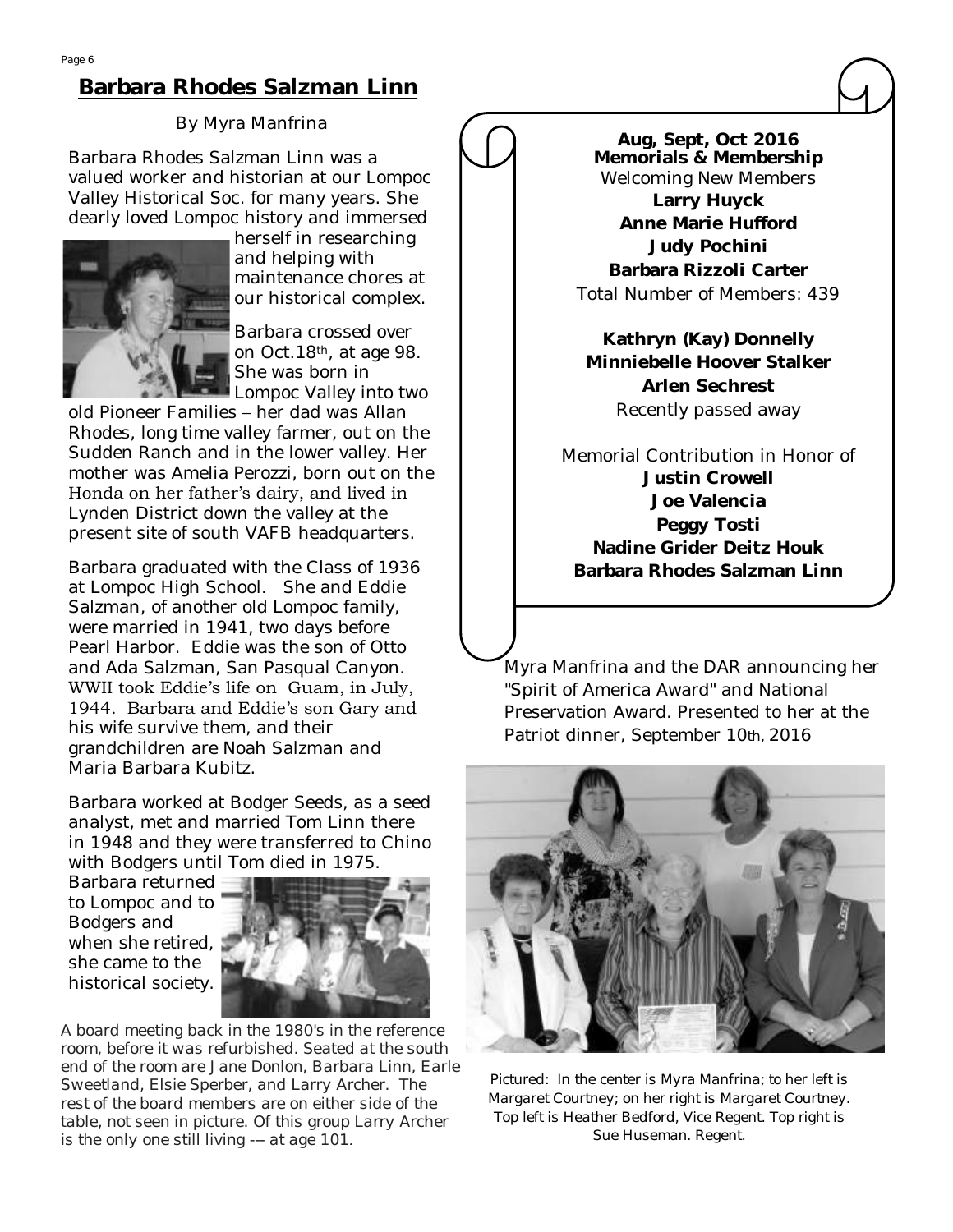### **Barbara Rhodes Salzman Linn**

#### By Myra Manfrina

Barbara Rhodes Salzman Linn was a valued worker and historian at our Lompoc Valley Historical Soc. for many years. She dearly loved Lompoc history and immersed



herself in researching and helping with maintenance chores at our historical complex.

Barbara crossed over on Oct.18th, at age 98. She was born in Lompoc Valley into two

old Pioneer Families – her dad was Allan Rhodes, long time valley farmer, out on the Sudden Ranch and in the lower valley. Her mother was Amelia Perozzi, born out on the Honda on her father's dairy, and lived in Lynden District down the valley at the present site of south VAFB headquarters.

Barbara graduated with the Class of 1936 at Lompoc High School. She and Eddie Salzman, of another old Lompoc family, were married in 1941, two days before Pearl Harbor. Eddie was the son of Otto and Ada Salzman, San Pasqual Canyon. WWII took Eddie's life on Guam, in July, 1944. Barbara and Eddie's son Gary and his wife survive them, and their grandchildren are Noah Salzman and Maria Barbara Kubitz.

Barbara worked at Bodger Seeds, as a seed analyst, met and married Tom Linn there in 1948 and they were transferred to Chino with Bodgers until Tom died in 1975.

Barbara returned to Lompoc and to Bodgers and when she retired, she came to the historical society.



*A board meeting back in the 1980's in the reference room, before it was refurbished. Seated at the south end of the room are Jane Donlon, Barbara Linn, Earle Sweetland, Elsie Sperber, and Larry Archer. The rest of the board members are on either side of the table, not seen in picture. Of this group Larry Archer is the only one still living --- at age 101.*

**Aug, Sept, Oct 2016 Memorials & Membership** Welcoming New Members **Larry Huyck Anne Marie Hufford Judy Pochini Barbara Rizzoli Carter** Total Number of Members: 439

**Kathryn (Kay) Donnelly Minniebelle Hoover Stalker Arlen Sechrest** Recently passed away

Memorial Contribution in Honor of **Justin Crowell Joe Valencia Peggy Tosti Nadine Grider Deitz Houk Barbara Rhodes Salzman Linn**

Myra Manfrina and the DAR announcing her "Spirit of America Award" and National Preservation Award. Presented to her at the Patriot dinner, September 10*th,* 2016



*Pictured: In the center is Myra Manfrina; to her left is Margaret Courtney; on her right is Margaret Courtney. Top left is Heather Bedford, Vice Regent. Top right is Sue Huseman. Regent.*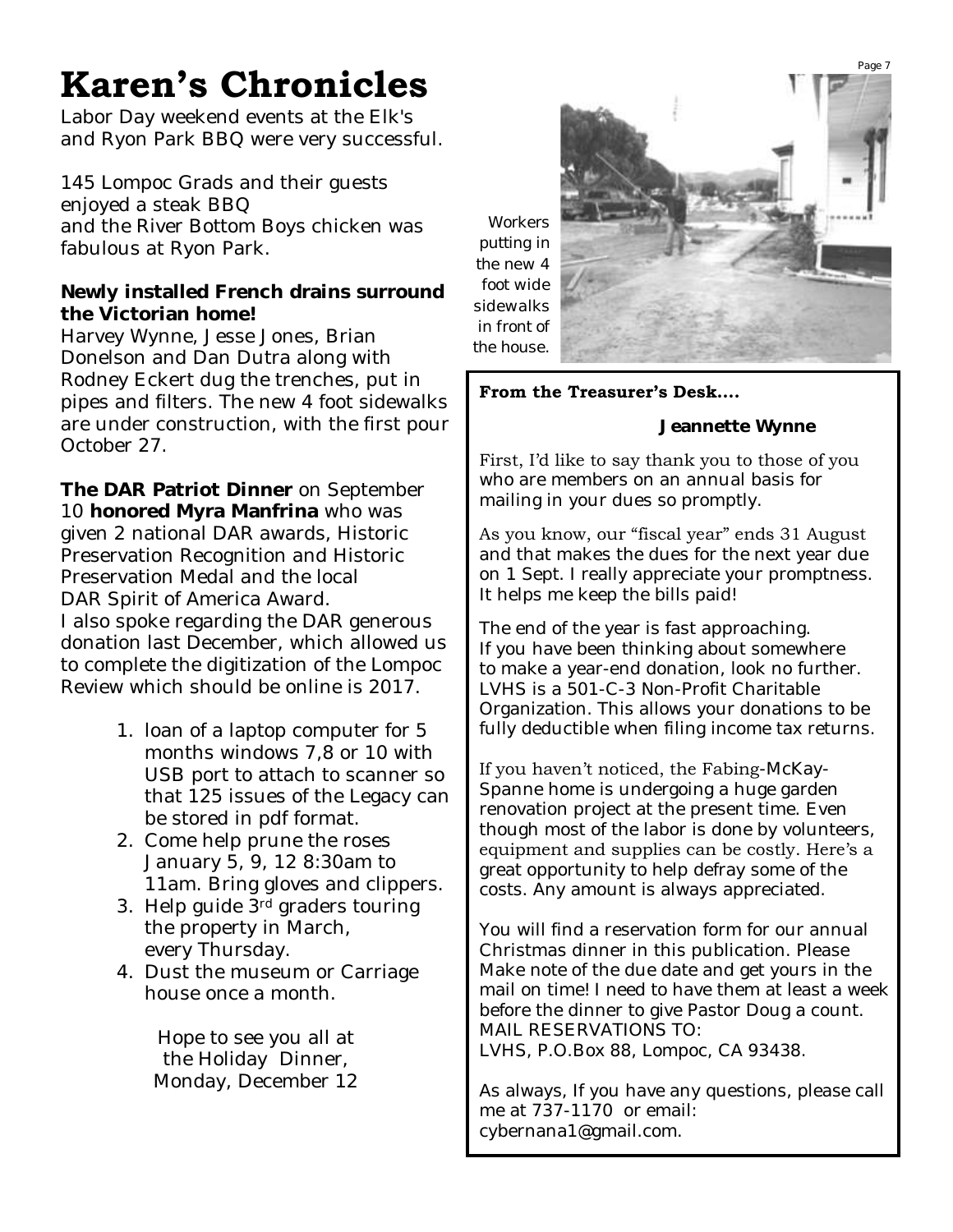# **Karen's Chronicles**

Labor Day weekend events at the Elk's and Ryon Park BBQ were very successful.

145 Lompoc Grads and their guests enjoyed a steak BBQ and the River Bottom Boys chicken was fabulous at Ryon Park.

**Newly installed French drains surround the Victorian home!** Harvey Wynne, Jesse Jones, Brian Donelson and Dan Dutra along with Rodney Eckert dug the trenches, put in pipes and filters. The new 4 foot sidewalks are under construction, with the first pour October 27.

**The DAR Patriot Dinner** on September 10 **honored Myra Manfrina** who was given 2 national DAR awards, Historic Preservation Recognition and Historic Preservation Medal and the local DAR Spirit of America Award. I also spoke regarding the DAR generous donation last December, which allowed us to complete the digitization of the Lompoc Review which should be online is 2017.

- 1. loan of a laptop computer for 5 months windows 7,8 or 10 with USB port to attach to scanner so that 125 issues of the Legacy can be stored in pdf format.
- 2. Come help prune the roses January 5, 9, 12 8:30am to 11am. Bring gloves and clippers.
- 3. Help guide 3rd graders touring the property in March, every Thursday.
- 4. Dust the museum or Carriage house once a month.

Hope to see you all at the Holiday Dinner, Monday, December 12



#### **From the Treasurer's Desk….**

 **Jeannette Wynne**

First, I'd like to say thank you to those of you who are members on an annual basis for mailing in your dues so promptly.

As you know, our "fiscal year" ends 31 August and that makes the dues for the next year due on 1 Sept. I really appreciate your promptness. It helps me keep the bills paid!

The end of the year is fast approaching. If you have been thinking about somewhere to make a year-end donation, look no further. LVHS is a 501-C-3 Non-Profit Charitable Organization. This allows your donations to be fully deductible when filing income tax returns.

If you haven't noticed, the Fabing-McKay-Spanne home is undergoing a huge garden renovation project at the present time. Even though most of the labor is done by volunteers, equipment and supplies can be costly. Here's a great opportunity to help defray some of the costs. Any amount is always appreciated.

You will find a reservation form for our annual Christmas dinner in this publication. Please Make note of the due date and get yours in the mail on time! I need to have them at least a week before the dinner to give Pastor Doug a count. MAIL RESERVATIONS TO: LVHS, P.O.Box 88, Lompoc, CA 93438.

As always, If you have any questions, please call me at 737-1170 or email: cybernana1@gmail.com.

Page 7